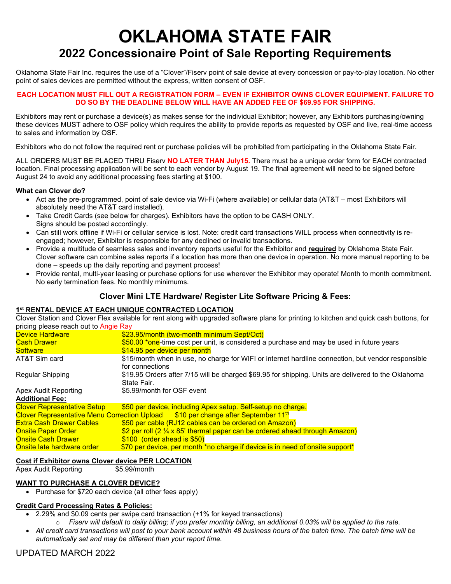# **OKLAHOMA STATE FAIR 2022 Concessionaire Point of Sale Reporting Requirements**

Oklahoma State Fair Inc. requires the use of a "Clover"/Fiserv point of sale device at every concession or pay-to-play location. No other point of sales devices are permitted without the express, written consent of OSF.

#### **EACH LOCATION MUST FILL OUT A REGISTRATION FORM – EVEN IF EXHIBITOR OWNS CLOVER EQUIPMENT. FAILURE TO DO SO BY THE DEADLINE BELOW WILL HAVE AN ADDED FEE OF \$69.95 FOR SHIPPING.**

Exhibitors may rent or purchase a device(s) as makes sense for the individual Exhibitor; however, any Exhibitors purchasing/owning these devices MUST adhere to OSF policy which requires the ability to provide reports as requested by OSF and live, real-time access to sales and information by OSF.

Exhibitors who do not follow the required rent or purchase policies will be prohibited from participating in the Oklahoma State Fair.

ALL ORDERS MUST BE PLACED THRU Fiserv **NO LATER THAN July15.** There must be a unique order form for EACH contracted location. Final processing application will be sent to each vendor by August 19. The final agreement will need to be signed before August 24 to avoid any additional processing fees starting at \$100.

### **What can Clover do?**

- Act as the pre-programmed, point of sale device via Wi-Fi (where available) or cellular data (AT&T most Exhibitors will absolutely need the AT&T card installed).
- Take Credit Cards (see below for charges). Exhibitors have the option to be CASH ONLY. Signs should be posted accordingly.
- Can still work offline if Wi-Fi or cellular service is lost. Note: credit card transactions WILL process when connectivity is reengaged; however, Exhibitor is responsible for any declined or invalid transactions.
- Provide a multitude of seamless sales and inventory reports useful for the Exhibitor and **required** by Oklahoma State Fair. Clover software can combine sales reports if a location has more than one device in operation. No more manual reporting to be done – speeds up the daily reporting and payment process!
- Provide rental, multi-year leasing or purchase options for use wherever the Exhibitor may operate! Month to month commitment. No early termination fees. No monthly minimums.

# **Clover Mini LTE Hardware/ Register Lite Software Pricing & Fees:**

### **1st RENTAL DEVICE AT EACH UNIQUE CONTRACTED LOCATION**

Clover Station and Clover Flex available for rent along with upgraded software plans for printing to kitchen and quick cash buttons, for pricing please reach out to Angie Ray

| Device Hardware                    | \$23.95/month (two-month minimum Sept/Oct)                                                                            |
|------------------------------------|-----------------------------------------------------------------------------------------------------------------------|
| Cash Drawer                        | \$50.00 *one-time cost per unit, is considered a purchase and may be used in future years                             |
| Software                           | \$14.95 per device per month                                                                                          |
| AT&T Sim card                      | \$15/month when in use, no charge for WIFI or internet hardline connection, but vendor responsible<br>for connections |
| Regular Shipping                   | \$19.95 Orders after 7/15 will be charged \$69.95 for shipping. Units are delivered to the Oklahoma<br>State Fair.    |
| Apex Audit Reporting               | \$5.99/month for OSF event                                                                                            |
| Additional Fee:                    |                                                                                                                       |
| <b>Clover Representative Setup</b> | \$50 per device, including Apex setup. Self-setup no charge.                                                          |
|                                    | Clover Representative Menu Correction Upload  \$10 per change after September 11 <sup>th</sup>                        |
| <u>Extra Cash Drawer Cables </u>   | \$50 per cable (RJ12 cables can be ordered on Amazon)                                                                 |
| <u> Onsite Paper Order_</u>        | \$2 per roll ( $2\frac{1}{4}$ x 85' thermal paper can be ordered ahead through Amazon)                                |
| <u> Onsite Cash Drawer</u>         | $$100$ (order ahead is $$50$ )                                                                                        |
| <u>Onsite late hardware order </u> | \$70 per device, per month *no charge if device is in need of onsite support*                                         |
|                                    |                                                                                                                       |

#### **Cost if Exhibitor owns Clover device PER LOCATION**

Apex Audit Reporting \$5.99/month

# **WANT TO PURCHASE A CLOVER DEVICE?**

• Purchase for \$720 each device (all other fees apply)

# **Credit Card Processing Rates & Policies:**

- 2.29% and \$0.09 cents per swipe card transaction (+1% for keyed transactions)
	- o *Fiserv will default to daily billing; if you prefer monthly billing, an additional 0.03% will be applied to the rate.*
- *All credit card transactions will post to your bank account within 48 business hours of the batch time. The batch time will be automatically set and may be different than your report time.*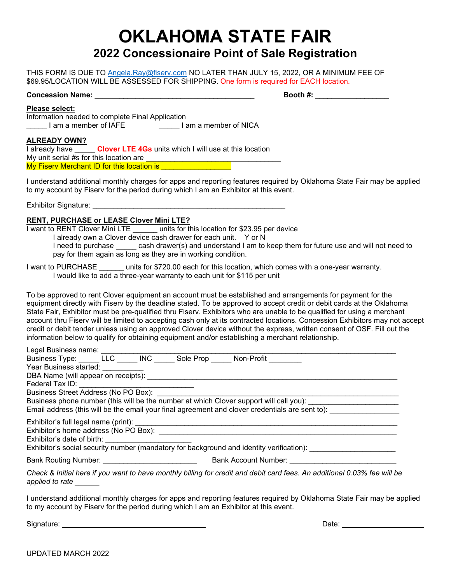# **OKLAHOMA STATE FAIR 2022 Concessionaire Point of Sale Registration**

THIS FORM IS DUE TO [Angela.Ray@fiserv.com](mailto:Angela.Ray@fiserv.com) NO LATER THAN JULY 15, 2022, OR A MINIMUM FEE OF \$69.95/LOCATION WILL BE ASSESSED FOR SHIPPING. One form is required for EACH location.

# **Concession Name:** \_\_\_\_\_\_\_\_\_\_\_\_\_\_\_\_\_\_\_\_\_\_\_\_\_\_\_\_\_\_\_\_\_\_\_\_\_\_\_ **Booth #:** \_\_\_\_\_\_\_\_\_\_\_\_\_\_\_\_\_\_

#### **Please select:**

Information needed to complete Final Application Lam a member of IAFE **with a member of NICA** 

#### **ALREADY OWN?**

I already have \_\_\_\_\_ **Clover LTE 4Gs** units which I will use at this location My unit serial  $#s$  for this location are My Fiserv Merchant ID for this location is **William Company of the United States** 

I understand additional monthly charges for apps and reporting features required by Oklahoma State Fair may be applied to my account by Fiserv for the period during which I am an Exhibitor at this event.

Exhibitor Signature:

### **RENT, PURCHASE or LEASE Clover Mini LTE?**

I want to RENT Clover Mini LTE \_\_\_\_\_\_ units for this location for \$23.95 per device I already own a Clover device cash drawer for each unit. Y or N

I need to purchase \_\_\_\_\_ cash drawer(s) and understand I am to keep them for future use and will not need to pay for them again as long as they are in working condition.

I want to PURCHASE units for \$720.00 each for this location, which comes with a one-year warranty. I would like to add a three-year warranty to each unit for \$115 per unit

To be approved to rent Clover equipment an account must be established and arrangements for payment for the equipment directly with Fiserv by the deadline stated. To be approved to accept credit or debit cards at the Oklahoma State Fair, Exhibitor must be pre-qualified thru Fiserv. Exhibitors who are unable to be qualified for using a merchant account thru Fiserv will be limited to accepting cash only at its contracted locations. Concession Exhibitors may not accept credit or debit tender unless using an approved Clover device without the express, written consent of OSF. Fill out the information below to qualify for obtaining equipment and/or establishing a merchant relationship.

| Legal Business name: Legal Business name:                                                                                                                                                                                      |                                                                                                                          |
|--------------------------------------------------------------------------------------------------------------------------------------------------------------------------------------------------------------------------------|--------------------------------------------------------------------------------------------------------------------------|
|                                                                                                                                                                                                                                | Business Type: LLC INC Sole Prop Non-Profit                                                                              |
| Year Business started:                                                                                                                                                                                                         |                                                                                                                          |
| DBA Name (will appear on receipts): DBA Name (will appear on receipts):                                                                                                                                                        |                                                                                                                          |
| Federal Tax ID: The control of the control of the control of the control of the control of the control of the control of the control of the control of the control of the control of the control of the control of the control |                                                                                                                          |
|                                                                                                                                                                                                                                |                                                                                                                          |
|                                                                                                                                                                                                                                | Business phone number (this will be the number at which Clover support will call you): ____________                      |
|                                                                                                                                                                                                                                | Email address (this will be the email your final agreement and clover credentials are sent to):                          |
| Exhibitor's date of birth:                                                                                                                                                                                                     | Exhibitor's social security number (mandatory for background and identity verification):                                 |
| Bank Routing Number: ___________________________                                                                                                                                                                               | <b>Bank Account Number:</b> Sank Account Number:                                                                         |
| applied to rate                                                                                                                                                                                                                | Check & Initial here if you want to have monthly billing for credit and debit card fees. An additional 0.03% fee will be |

I understand additional monthly charges for apps and reporting features required by Oklahoma State Fair may be applied to my account by Fiserv for the period during which I am an Exhibitor at this event.

Signature: \_\_\_\_\_\_\_\_\_\_\_\_\_\_\_\_\_\_\_\_\_\_\_\_\_\_\_\_\_\_\_\_\_\_\_ Date: \_\_\_\_\_\_\_\_\_\_\_\_\_\_\_\_\_\_\_\_